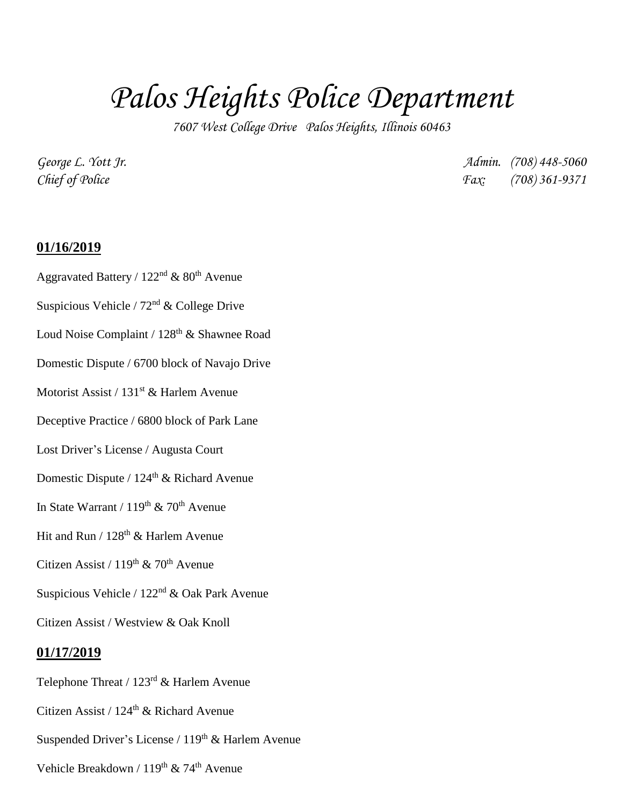# *Palos Heights Police Department*

*7607 West College Drive Palos Heights, Illinois 60463*

*George L. Yott Jr. Admin. (708) 448-5060 Chief of Police Fax: (708) 361-9371*

#### **01/16/2019**

- Aggravated Battery /  $122<sup>nd</sup>$  &  $80<sup>th</sup>$  Avenue
- Suspicious Vehicle /  $72<sup>nd</sup>$  & College Drive
- Loud Noise Complaint / 128<sup>th</sup> & Shawnee Road
- Domestic Dispute / 6700 block of Navajo Drive
- Motorist Assist /  $131<sup>st</sup>$  & Harlem Avenue
- Deceptive Practice / 6800 block of Park Lane
- Lost Driver's License / Augusta Court
- Domestic Dispute /  $124<sup>th</sup>$  & Richard Avenue
- In State Warrant /  $119<sup>th</sup>$  & 70<sup>th</sup> Avenue
- Hit and Run /  $128<sup>th</sup>$  & Harlem Avenue
- Citizen Assist /  $119^{th}$  &  $70^{th}$  Avenue
- Suspicious Vehicle / 122nd & Oak Park Avenue
- Citizen Assist / Westview & Oak Knoll

#### **01/17/2019**

- Telephone Threat / 123rd & Harlem Avenue
- Citizen Assist /  $124<sup>th</sup>$  & Richard Avenue
- Suspended Driver's License /  $119<sup>th</sup>$  & Harlem Avenue
- Vehicle Breakdown / 119<sup>th</sup> & 74<sup>th</sup> Avenue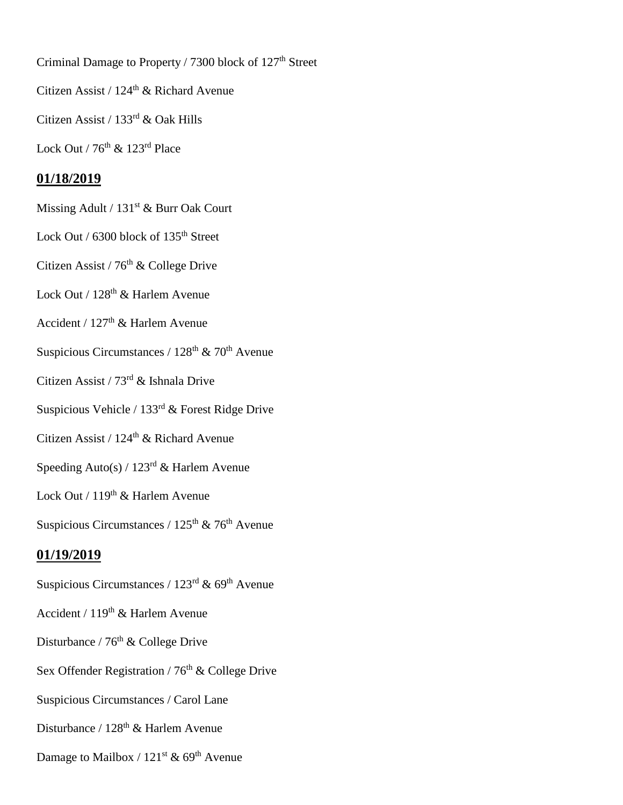Criminal Damage to Property / 7300 block of 127<sup>th</sup> Street

Citizen Assist /  $124^{\text{th}}$  & Richard Avenue

Citizen Assist / 133rd & Oak Hills

Lock Out /  $76^{\text{th}}$  &  $123^{\text{rd}}$  Place

# **01/18/2019**

Missing Adult / 131<sup>st</sup> & Burr Oak Court

Lock Out / 6300 block of 135<sup>th</sup> Street

Citizen Assist /  $76<sup>th</sup>$  & College Drive

Lock Out / 128<sup>th</sup> & Harlem Avenue

Accident / 127<sup>th</sup> & Harlem Avenue

Suspicious Circumstances /  $128<sup>th</sup>$  & 70<sup>th</sup> Avenue

Citizen Assist / 73rd & Ishnala Drive

Suspicious Vehicle / 133rd & Forest Ridge Drive

Citizen Assist /  $124^{\text{th}}$  & Richard Avenue

Speeding Auto(s) /  $123<sup>rd</sup>$  & Harlem Avenue

Lock Out / 119<sup>th</sup> & Harlem Avenue

Suspicious Circumstances /  $125<sup>th</sup>$  & 76<sup>th</sup> Avenue

## **01/19/2019**

- Suspicious Circumstances /  $123<sup>rd</sup>$  & 69<sup>th</sup> Avenue
- Accident /  $119<sup>th</sup>$  & Harlem Avenue
- Disturbance / 76<sup>th</sup> & College Drive
- Sex Offender Registration /  $76<sup>th</sup>$  & College Drive
- Suspicious Circumstances / Carol Lane
- Disturbance / 128<sup>th</sup> & Harlem Avenue
- Damage to Mailbox /  $121^{st}$  & 69<sup>th</sup> Avenue